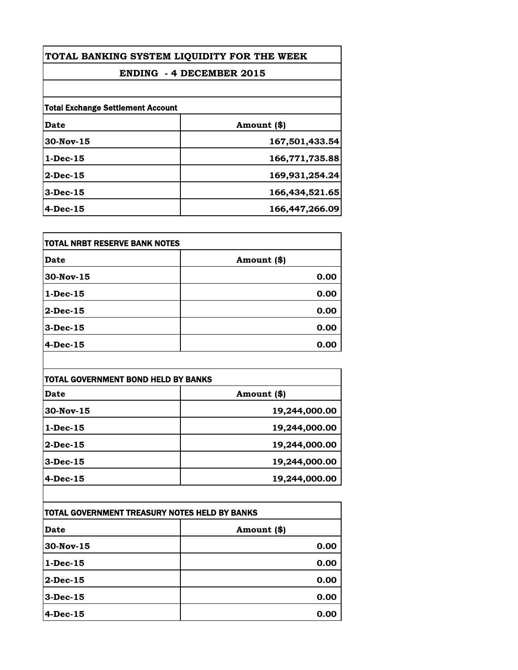| TOTAL BANKING SYSTEM LIQUIDITY FOR THE WEEK<br><b>ENDING - 4 DECEMBER 2015</b> |                |                                          |             |
|--------------------------------------------------------------------------------|----------------|------------------------------------------|-------------|
|                                                                                |                | <b>Total Exchange Settlement Account</b> |             |
|                                                                                |                | Date                                     | Amount (\$) |
| $30$ -Nov-15                                                                   | 167,501,433.54 |                                          |             |
| $1-Dec-15$                                                                     | 166,771,735.88 |                                          |             |
| $2$ -Dec-15                                                                    | 169,931,254.24 |                                          |             |
| $3-Dec-15$                                                                     | 166,434,521.65 |                                          |             |
| $4-Dec-15$                                                                     | 166,447,266.09 |                                          |             |

| itotal NRBT RESERVE BANK NOTES |             |
|--------------------------------|-------------|
| Date                           | Amount (\$) |
| 30-Nov-15                      | 0.00        |
| $1-Dec-15$                     | 0.00        |
| 2-Dec-15                       | 0.00        |
| $3-Dec-15$                     | 0.00        |
| 4-Dec-15                       | 0.00        |

| <b>TOTAL GOVERNMENT BOND HELD BY BANKS</b> |               |
|--------------------------------------------|---------------|
| Date                                       | Amount (\$)   |
| 30-Nov-15                                  | 19,244,000.00 |
| $1-Dec-15$                                 | 19,244,000.00 |
| $2$ -Dec-15                                | 19,244,000.00 |
| $3$ -Dec-15                                | 19,244,000.00 |
| 4-Dec-15                                   | 19,244,000.00 |

| TOTAL GOVERNMENT TREASURY NOTES HELD BY BANKS |             |
|-----------------------------------------------|-------------|
| Date                                          | Amount (\$) |
| $30$ -Nov-15                                  | 0.00        |
| $1$ -Dec-15                                   | 0.00        |
| $2$ -Dec-15                                   | 0.00        |
| $3$ -Dec-15                                   | 0.00        |
| $4-Dec-15$                                    | 0.00        |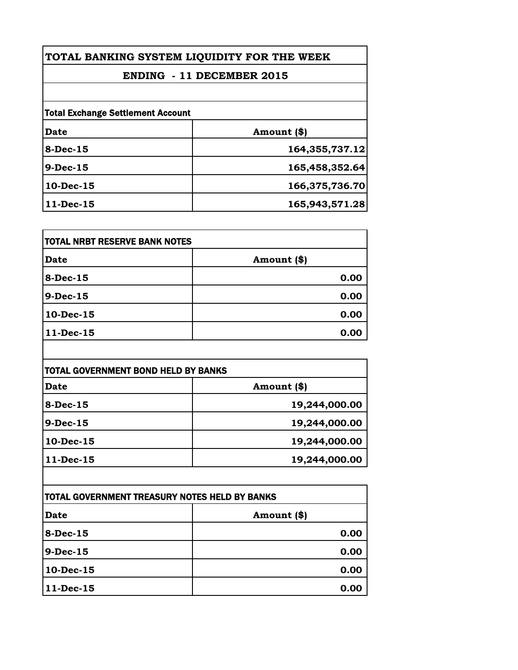| TOTAL BANKING SYSTEM LIQUIDITY FOR THE WEEK |  |  |
|---------------------------------------------|--|--|
|---------------------------------------------|--|--|

## **ENDING - 11 DECEMBER 2015**

| <b>Total Exchange Settlement Account</b> |                |
|------------------------------------------|----------------|
| Date                                     | Amount (\$)    |
| $8-Dec-15$                               | 164,355,737.12 |
| $9-Dec-15$                               | 165,458,352.64 |
| 10-Dec-15                                | 166,375,736.70 |
| $11-Dec-15$                              | 165,943,571.28 |

| <b>TOTAL NRBT RESERVE BANK NOTES</b> |             |
|--------------------------------------|-------------|
| <b>Date</b>                          | Amount (\$) |
| 8-Dec-15                             | 0.00        |
| $9-Dec-15$                           | 0.00        |
| 10-Dec-15                            | 0.00        |
| $11 - Dec-15$                        | 0.00        |

| <b>Date</b>  | Amount (\$)   |  |
|--------------|---------------|--|
| $8-Dec-15$   | 19,244,000.00 |  |
| $9-Dec-15$   | 19,244,000.00 |  |
| $10$ -Dec-15 | 19,244,000.00 |  |
| $11-Dec-15$  | 19,244,000.00 |  |

| ITOTAL GOVERNMENT TREASURY NOTES HELD BY BANKS |             |
|------------------------------------------------|-------------|
| <b>Date</b>                                    | Amount (\$) |
| $8-Dec-15$                                     | 0.00        |
| $9-Dec-15$                                     | 0.00        |
| 10-Dec-15                                      | 0.00        |
| 11-Dec-15                                      | 0.00        |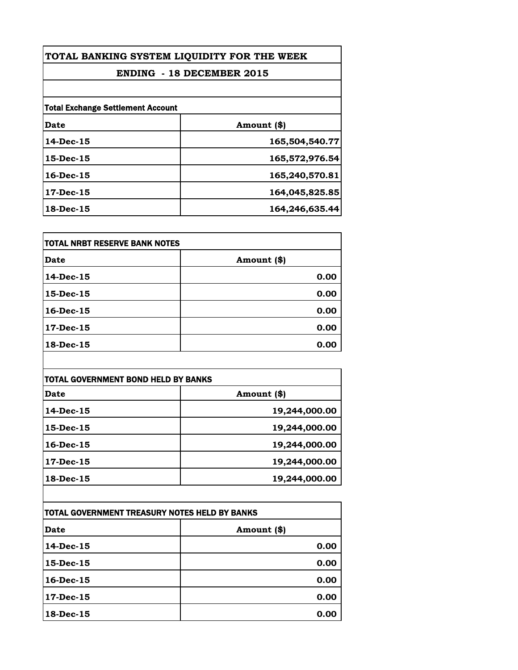| TOTAL BANKING SYSTEM LIQUIDITY FOR THE WEEK<br><b>ENDING - 18 DECEMBER 2015</b> |                |  |
|---------------------------------------------------------------------------------|----------------|--|
|                                                                                 |                |  |
| <b>Total Exchange Settlement Account</b>                                        |                |  |
| Date                                                                            | Amount (\$)    |  |
| $14$ -Dec-15                                                                    | 165,504,540.77 |  |
| $15$ -Dec- $15$                                                                 | 165,572,976.54 |  |
| 16-Dec-15                                                                       | 165,240,570.81 |  |
| $17$ -Dec-15                                                                    | 164,045,825.85 |  |
| 18-Dec-15                                                                       | 164,246,635.44 |  |

| <b>TOTAL NRBT RESERVE BANK NOTES</b> |             |
|--------------------------------------|-------------|
| Date                                 | Amount (\$) |
| 14-Dec-15                            | 0.00        |
| 15-Dec-15                            | 0.00        |
| $16$ -Dec- $15$                      | 0.00        |
| 17-Dec-15                            | 0.00        |
| 18-Dec-15                            | 0.00        |

| TOTAL GOVERNMENT BOND HELD BY BANKS |               |
|-------------------------------------|---------------|
| Date                                | Amount (\$)   |
| $14$ -Dec-15                        | 19,244,000.00 |
| 15-Dec-15                           | 19,244,000.00 |
| $16$ -Dec- $15$                     | 19,244,000.00 |
| $17$ -Dec-15                        | 19,244,000.00 |
| 18-Dec-15                           | 19,244,000.00 |

| TOTAL GOVERNMENT TREASURY NOTES HELD BY BANKS |             |  |
|-----------------------------------------------|-------------|--|
| Date                                          | Amount (\$) |  |
| $14$ -Dec-15                                  | 0.00        |  |
| $15$ -Dec-15                                  | 0.00        |  |
| $16$ -Dec-15                                  | 0.00        |  |
| $17$ -Dec-15                                  | 0.00        |  |
| 18-Dec-15                                     | 0.00        |  |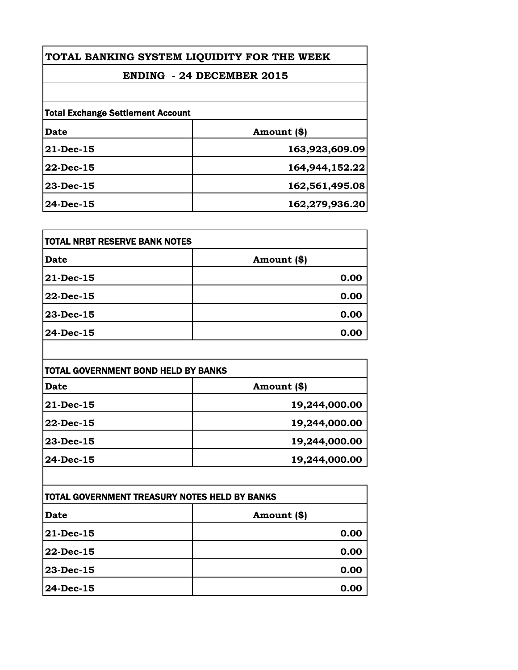|  | TOTAL BANKING SYSTEM LIQUIDITY FOR THE WEEK |  |  |  |
|--|---------------------------------------------|--|--|--|
|--|---------------------------------------------|--|--|--|

## **ENDING - 24 DECEMBER 2015**

| <b>Total Exchange Settlement Account</b> |                |  |
|------------------------------------------|----------------|--|
| Date                                     | Amount (\$)    |  |
| 21-Dec-15                                | 163,923,609.09 |  |
| 22-Dec-15                                | 164,944,152.22 |  |
| $23 - Dec - 15$                          | 162,561,495.08 |  |
| $24$ -Dec-15                             | 162,279,936.20 |  |

| <b>TOTAL NRBT RESERVE BANK NOTES</b> |             |
|--------------------------------------|-------------|
| <b>Date</b>                          | Amount (\$) |
| 21-Dec-15                            | 0.00        |
| 22-Dec-15                            | 0.00        |
| 23-Dec-15                            | 0.00        |
| 24-Dec-15                            | 0.00        |

| TOTAL GOVERNMENT BOND HELD BY BANKS |               |
|-------------------------------------|---------------|
| <b>Date</b>                         | Amount (\$)   |
| 21-Dec-15                           | 19,244,000.00 |
| 22-Dec-15                           | 19,244,000.00 |
| 23-Dec-15                           | 19,244,000.00 |
| 24-Dec-15                           | 19,244,000.00 |

| ITOTAL GOVERNMENT TREASURY NOTES HELD BY BANKS |             |  |
|------------------------------------------------|-------------|--|
| <b>Date</b>                                    | Amount (\$) |  |
| $ 21$ -Dec-15                                  | 0.00        |  |
| 22-Dec-15                                      | 0.00        |  |
| $23 - Dec - 15$                                | 0.00        |  |
| $24$ -Dec-15                                   | 0.00        |  |